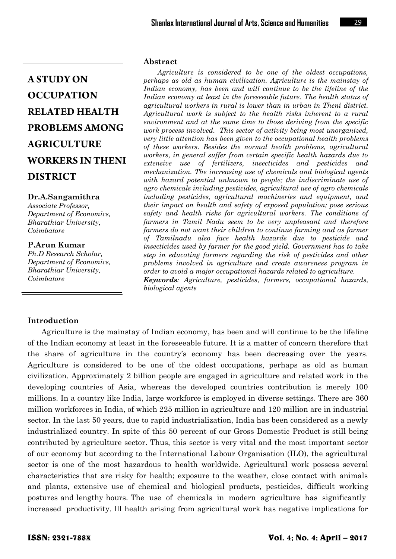#### **Dr.A.Sangamithra**

*Associate Professor, Department of Economics, Bharathiar University, Coimbatore*

#### **P.Arun Kumar**

*Ph.D Research Scholar, Department of Economics, Bharathiar University, Coimbatore*

#### **Abstract**

*Agriculture is considered to be one of the oldest occupations, perhaps as old as human civilization. Agriculture is the mainstay of Indian economy, has been and will continue to be the lifeline of the Indian economy at least in the foreseeable future. The health status of agricultural workers in rural is lower than in urban in Theni district. Agricultural work is subject to the health risks inherent to a rural environment and at the same time to those deriving from the specific work process involved. This sector of activity being most unorganized, very little attention has been given to the occupational health problems of these workers. Besides the normal health problems, agricultural workers, in general suffer from certain specific health hazards due to extensive use of fertilizers, insecticides and pesticides and mechanization. The increasing use of chemicals and biological agents with hazard potential unknown to people; the indiscriminate use of agro chemicals including pesticides, agricultural use of agro chemicals including pesticides, agricultural machineries and equipment, and their impact on health and safety of exposed population; pose serious safety and health risks for agricultural workers. The conditions of farmers in Tamil Nadu seem to be very unpleasant and therefore farmers do not want their children to continue farming and as farmer of Tamilnadu also face health hazards due to pesticide and insecticides used by farmer for the good yield. Government has to take step in educating farmers regarding the risk of pesticides and other problems involved in agriculture and create awareness program in order to avoid a major occupational hazards related to agriculture. Keywords: Agriculture, pesticides, farmers, occupational hazards, biological agents*

#### **Introduction**

Agriculture is the mainstay of Indian economy, has been and will continue to be the lifeline of the Indian economy at least in the foreseeable future. It is a matter of concern therefore that the share of agriculture in the country's economy has been decreasing over the years. Agriculture is considered to be one of the oldest occupations, perhaps as old as human civilization. Approximately 2 billion people are engaged in agriculture and related work in the developing countries of Asia, whereas the developed countries contribution is merely 100 millions. In a country like India, large workforce is employed in diverse settings. There are 360 million workforces in India, of which 225 million in agriculture and 120 million are in industrial sector. In the last 50 years, due to rapid industrialization, India has been considered as a newly industrialized country. In spite of this 50 percent of our Gross Domestic Product is still being contributed by agriculture sector. Thus, this sector is very vital and the most important sector of our economy but according to the International Labour Organisation (ILO), the agricultural sector is one of the most hazardous to health worldwide. Agricultural work possess several characteristics that are risky for health; exposure to the weather, close contact with animals and plants, extensive use of chemical and biological products, pesticides, difficult working postures and lengthy hours. The use of chemicals in modern agriculture has significantly increased productivity. Ill health arising from agricultural work has negative implications for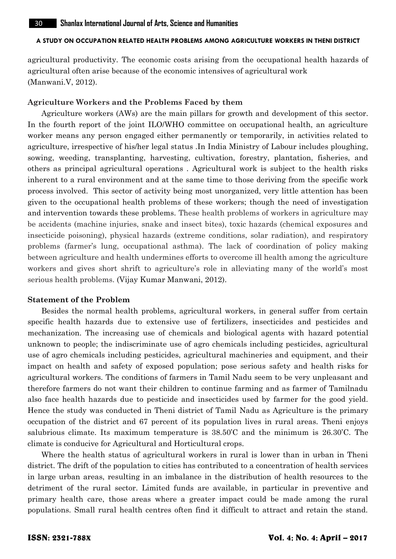agricultural productivity. The economic costs arising from the occupational health hazards of agricultural often arise because of the economic intensives of agricultural work (Manwani.V, 2012).

#### **Agriculture Workers and the Problems Faced by them**

Agriculture workers (AWs) are the main pillars for growth and development of this sector. In the fourth report of the joint ILO/WHO committee on occupational health, an agriculture worker means any person engaged either permanently or temporarily, in activities related to agriculture, irrespective of his/her legal status .In India Ministry of Labour includes ploughing, sowing, weeding, transplanting, harvesting, cultivation, forestry, plantation, fisheries, and others as principal agricultural operations . Agricultural work is subject to the health risks inherent to a rural environment and at the same time to those deriving from the specific work process involved. This sector of activity being most unorganized, very little attention has been given to the occupational health problems of these workers; though the need of investigation and intervention towards these problems. These health problems of workers in agriculture may be accidents (machine injuries, snake and insect bites), toxic hazards (chemical exposures and insecticide poisoning), physical hazards (extreme conditions, solar radiation), and respiratory problems (farmer's lung, occupational asthma). The lack of coordination of policy making between agriculture and health undermines efforts to overcome ill health among the agriculture workers and gives short shrift to agriculture's role in alleviating many of the world's most serious health problems. (Vijay Kumar Manwani, 2012).

#### **Statement of the Problem**

Besides the normal health problems, agricultural workers, in general suffer from certain specific health hazards due to extensive use of fertilizers, insecticides and pesticides and mechanization. The increasing use of chemicals and biological agents with hazard potential unknown to people; the indiscriminate use of agro chemicals including pesticides, agricultural use of agro chemicals including pesticides, agricultural machineries and equipment, and their impact on health and safety of exposed population; pose serious safety and health risks for agricultural workers. The conditions of farmers in Tamil Nadu seem to be very unpleasant and therefore farmers do not want their children to continue farming and as farmer of Tamilnadu also face health hazards due to pesticide and insecticides used by farmer for the good yield. Hence the study was conducted in Theni district of Tamil Nadu as Agriculture is the primary occupation of the district and 67 percent of its population lives in rural areas. Theni enjoys salubrious climate. Its maximum temperature is 38.50'C and the minimum is 26.30'C. The climate is conducive for Agricultural and Horticultural crops.

Where the health status of agricultural workers in rural is lower than in urban in Theni district. The drift of the population to cities has contributed to a concentration of health services in large urban areas, resulting in an imbalance in the distribution of health resources to the detriment of the rural sector. Limited funds are available, in particular in preventive and primary health care, those areas where a greater impact could be made among the rural populations. Small rural health centres often find it difficult to attract and retain the stand.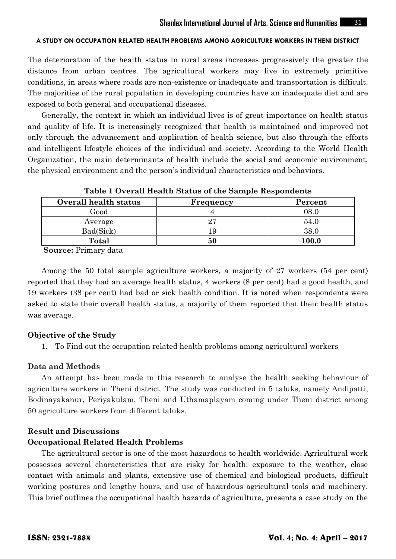The deterioration of the health status in rural areas increases progressively the greater the distance from urban centres. The agricultural workers may live in extremely primitive conditions, in areas where roads are non-existence or inadequate and transportation is difficult. The majorities of the rural population in developing countries have an inadequate diet and are exposed to both general and occupational diseases.

Generally, the context in which an individual lives is of great importance on health status and quality of life. It is increasingly recognized that health is maintained and improved not only through the advancement and application of health science, but also through the efforts and intelligent lifestyle choices of the individual and society. According to the World Health Organization, the main determinants of health include the social and economic environment, the physical environment and the person's individual characteristics and behaviors.

| Tuote I Overall Heuren Deueus of the Dumple Nespondents |           |         |  |
|---------------------------------------------------------|-----------|---------|--|
| Overall health status                                   | Frequency | Percent |  |
| Good                                                    |           | 08.0    |  |
| Average                                                 | 27        | 54.0    |  |
| Bad(Sick)                                               | 19        | 38.0    |  |
| Total                                                   | 50        | 100.0   |  |

**Table 1 Overall Health Status of the Sample Respondents**

**Source:** Primary data

Among the 50 total sample agriculture workers, a majority of 27 workers (54 per cent) reported that they had an average health status, 4 workers (8 per cent) had a good health, and 19 workers (38 per cent) had bad or sick health condition. It is noted when respondents were asked to state their overall health status, a majority of them reported that their health status was average.

#### **Objective of the Study**

1. To Find out the occupation related health problems among agricultural workers

# **Data and Methods**

An attempt has been made in this research to analyse the health seeking behaviour of agriculture workers in Theni district. The study was conducted in 5 taluks, namely Andipatti, Bodinayakanur, Periyakulam, Theni and Uthamaplayam coming under Theni district among 50 agriculture workers from different taluks.

#### **Result and Discussions**

# **Occupational Related Health Problems**

The agricultural sector is one of the most hazardous to health worldwide. Agricultural work possesses several characteristics that are risky for health: exposure to the weather, close contact with animals and plants, extensive use of chemical and biological products, difficult working postures and lengthy hours, and use of hazardous agricultural tools and machinery. This brief outlines the occupational health hazards of agriculture, presents a case study on the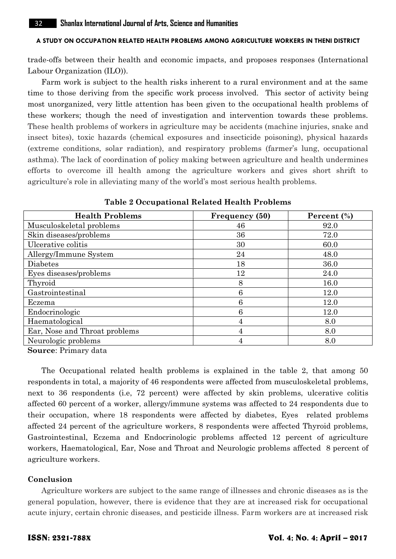trade-offs between their health and economic impacts, and proposes responses (International Labour Organization (ILO)).

Farm work is subject to the health risks inherent to a rural environment and at the same time to those deriving from the specific work process involved. This sector of activity being most unorganized, very little attention has been given to the occupational health problems of these workers; though the need of investigation and intervention towards these problems. These health problems of workers in agriculture may be accidents (machine injuries, snake and insect bites), toxic hazards (chemical exposures and insecticide poisoning), physical hazards (extreme conditions, solar radiation), and respiratory problems (farmer's lung, occupational asthma). The lack of coordination of policy making between agriculture and health undermines efforts to overcome ill health among the agriculture workers and gives short shrift to agriculture's role in alleviating many of the world's most serious health problems.

| <b>Health Problems</b>        | Frequency (50) | Percent $(\% )$ |
|-------------------------------|----------------|-----------------|
| Musculoskeletal problems      | 46             | 92.0            |
| Skin diseases/problems        | 36             | 72.0            |
| Ulcerative colitis            | 30             | 60.0            |
| Allergy/Immune System         | 24             | 48.0            |
| Diabetes                      | 18             | 36.0            |
| Eyes diseases/problems        | 12             | 24.0            |
| Thyroid                       | 8              | 16.0            |
| Gastrointestinal              | 6              | 12.0            |
| Eczema                        | 6              | 12.0            |
| Endocrinologic                | 6              | 12.0            |
| Haematological                | 4              | 8.0             |
| Ear, Nose and Throat problems | 4              | 8.0             |
| Neurologic problems           |                | 8.0             |

**Table 2 Occupational Related Health Problems**

**Source**: Primary data

The Occupational related health problems is explained in the table 2, that among 50 respondents in total, a majority of 46 respondents were affected from musculoskeletal problems, next to 36 respondents (i.e, 72 percent) were affected by skin problems, ulcerative colitis affected 60 percent of a worker, allergy/immune systems was affected to 24 respondents due to their occupation, where 18 respondents were affected by diabetes, Eyes related problems affected 24 percent of the agriculture workers, 8 respondents were affected Thyroid problems, Gastrointestinal, Eczema and Endocrinologic problems affected 12 percent of agriculture workers, Haematological, Ear, Nose and Throat and Neurologic problems affected 8 percent of agriculture workers.

#### **Conclusion**

Agriculture workers are subject to the same range of illnesses and chronic diseases as is the general population, however, there is evidence that they are at increased risk for occupational acute injury, certain chronic diseases, and pesticide illness. Farm workers are at increased risk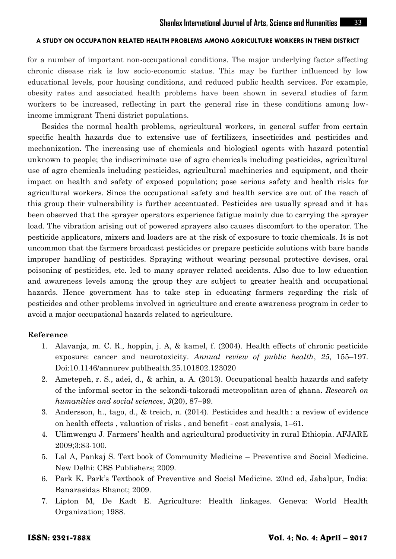for a number of important non-occupational conditions. The major underlying factor affecting chronic disease risk is low socio-economic status. This may be further influenced by low educational levels, poor housing conditions, and reduced public health services. For example, obesity rates and associated health problems have been shown in several studies of farm workers to be increased, reflecting in part the general rise in these conditions among lowincome immigrant Theni district populations.

Besides the normal health problems, agricultural workers, in general suffer from certain specific health hazards due to extensive use of fertilizers, insecticides and pesticides and mechanization. The increasing use of chemicals and biological agents with hazard potential unknown to people; the indiscriminate use of agro chemicals including pesticides, agricultural use of agro chemicals including pesticides, agricultural machineries and equipment, and their impact on health and safety of exposed population; pose serious safety and health risks for agricultural workers. Since the occupational safety and health service are out of the reach of this group their vulnerability is further accentuated. Pesticides are usually spread and it has been observed that the sprayer operators experience fatigue mainly due to carrying the sprayer load. The vibration arising out of powered sprayers also causes discomfort to the operator. The pesticide applicators, mixers and loaders are at the risk of exposure to toxic chemicals. It is not uncommon that the farmers broadcast pesticides or prepare pesticide solutions with bare hands improper handling of pesticides. Spraying without wearing personal protective devises, oral poisoning of pesticides, etc. led to many sprayer related accidents. Also due to low education and awareness levels among the group they are subject to greater health and occupational hazards. Hence government has to take step in educating farmers regarding the risk of pesticides and other problems involved in agriculture and create awareness program in order to avoid a major occupational hazards related to agriculture.

# **Reference**

- 1. Alavanja, m. C. R., hoppin, j. A, & kamel, f. (2004). Health effects of chronic pesticide exposure: cancer and neurotoxicity. *Annual review of public health*, *25*, 155–197. Doi:10.1146/annurev.publhealth.25.101802.123020
- 2. Ametepeh, r. S., adei, d., & arhin, a. A. (2013). Occupational health hazards and safety of the informal sector in the sekondi-takoradi metropolitan area of ghana. *Research on humanities and social sciences*, *3*(20), 87–99.
- 3. Andersson, h., tago, d., & treich, n. (2014). Pesticides and health : a review of evidence on health effects , valuation of risks , and benefit ‐ cost analysis, 1–61.
- 4. Ulimwengu J. Farmers' health and agricultural productivity in rural Ethiopia. AFJARE 2009;3:83-100.
- 5. Lal A, Pankaj S. Text book of Community Medicine Preventive and Social Medicine. New Delhi: CBS Publishers; 2009.
- 6. Park K. Park's Textbook of Preventive and Social Medicine. 20nd ed, Jabalpur, India: Banarasidas Bhanot; 2009.
- 7. Lipton M, De Kadt E. Agriculture: Health linkages. Geneva: World Health Organization; 1988.